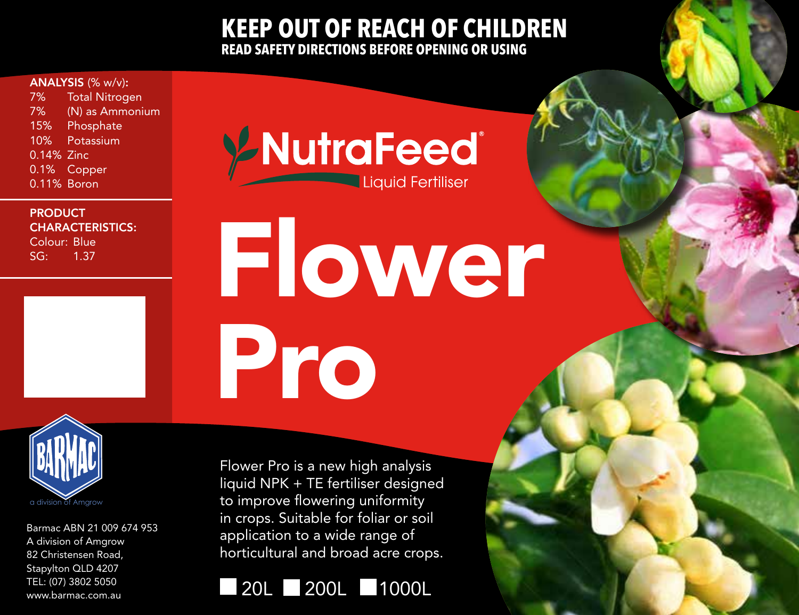## **KEEP OUT OF REACH OF CHILDREN READ SAFETY DIRECTIONS BEFORE OPENING OR USING**

## ANALYSIS (% w/v):

7% Total Nitrogen 7% (N) as Ammonium 15% Phosphate 10% Potassium 0.14% Zinc 0.1% Copper 0.11% Boron

## **PRODUCT** CHARACTERISTICS:

Colour: Blue SG: 1.37

YNutraFeed® Liquid Fertiliser

Flower Pro



Barmac ABN 21 009 674 953 A division of Amgrow 82 Christensen Road, Stapylton QLD 4207 TEL: (07) 3802 5050 www.barmac.com.au

Flower Pro is a new high analysis liquid NPK + TE fertiliser designed to improve flowering uniformity in crops. Suitable for foliar or soil application to a wide range of horticultural and broad acre crops.